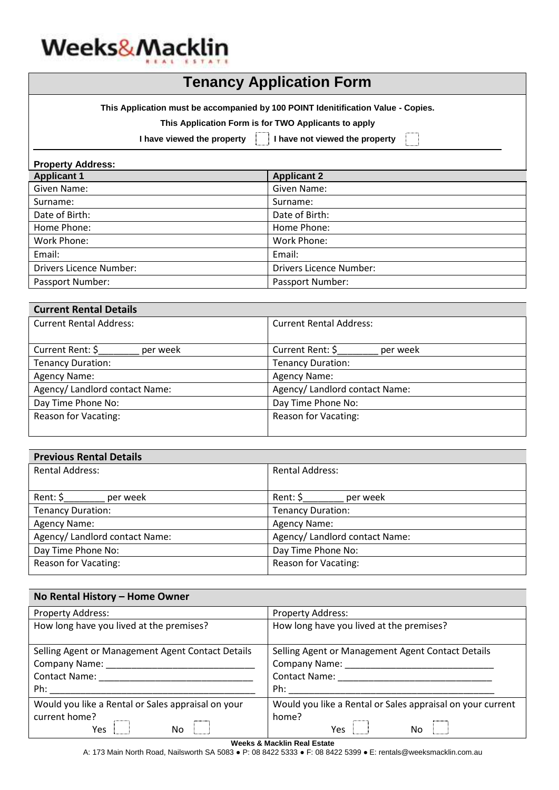

**This Application must be accompanied by 100 POINT Idenitification Value - Copies.**

| This Application Form is for TWO Applicants to apply |  |  |
|------------------------------------------------------|--|--|
|                                                      |  |  |

**I have viewed the property I have not viewed the property**

| <b>Property Address:</b>       |                                |  |
|--------------------------------|--------------------------------|--|
| <b>Applicant 1</b>             | <b>Applicant 2</b>             |  |
| Given Name:                    | Given Name:                    |  |
| Surname:                       | Surname:                       |  |
| Date of Birth:                 | Date of Birth:                 |  |
| Home Phone:                    | Home Phone:                    |  |
| Work Phone:                    | Work Phone:                    |  |
| Email:                         | Email:                         |  |
| <b>Drivers Licence Number:</b> | <b>Drivers Licence Number:</b> |  |
| Passport Number:               | Passport Number:               |  |

| <b>Current Rental Details</b>  |                                |
|--------------------------------|--------------------------------|
| <b>Current Rental Address:</b> | <b>Current Rental Address:</b> |
|                                |                                |
| Current Rent: \$<br>per week   | Current Rent: \$<br>per week   |
| <b>Tenancy Duration:</b>       | <b>Tenancy Duration:</b>       |
| Agency Name:                   | Agency Name:                   |
| Agency/ Landlord contact Name: | Agency/ Landlord contact Name: |
| Day Time Phone No:             | Day Time Phone No:             |
| Reason for Vacating:           | <b>Reason for Vacating:</b>    |
|                                |                                |

| <b>Previous Rental Details</b> |                                |  |
|--------------------------------|--------------------------------|--|
| <b>Rental Address:</b>         | <b>Rental Address:</b>         |  |
|                                |                                |  |
| Rent: \$<br>per week           | Rent: $\zeta$<br>per week      |  |
| <b>Tenancy Duration:</b>       | <b>Tenancy Duration:</b>       |  |
| Agency Name:                   | Agency Name:                   |  |
| Agency/ Landlord contact Name: | Agency/ Landlord contact Name: |  |
| Day Time Phone No:             | Day Time Phone No:             |  |
| Reason for Vacating:           | <b>Reason for Vacating:</b>    |  |
|                                |                                |  |

| No Rental History - Home Owner                     |                                                            |  |  |
|----------------------------------------------------|------------------------------------------------------------|--|--|
| Property Address:                                  | <b>Property Address:</b>                                   |  |  |
| How long have you lived at the premises?           | How long have you lived at the premises?                   |  |  |
| Selling Agent or Management Agent Contact Details  | Selling Agent or Management Agent Contact Details          |  |  |
| <b>Company Name:</b>                               | Company Name:                                              |  |  |
| <b>Contact Name:</b><br><b>Contact Name:</b>       |                                                            |  |  |
| Ph:                                                | Ph:                                                        |  |  |
| Would you like a Rental or Sales appraisal on your | Would you like a Rental or Sales appraisal on your current |  |  |
| current home?<br>No<br>Yes                         | home?<br><b>No</b><br>Yes                                  |  |  |

#### **Weeks & Macklin Real Estate**

A: 173 Main North Road, Nailsworth SA 5083 ● P: 08 8422 5333 ● F: 08 8422 5399 ● E: rentals@weeksmacklin.com.au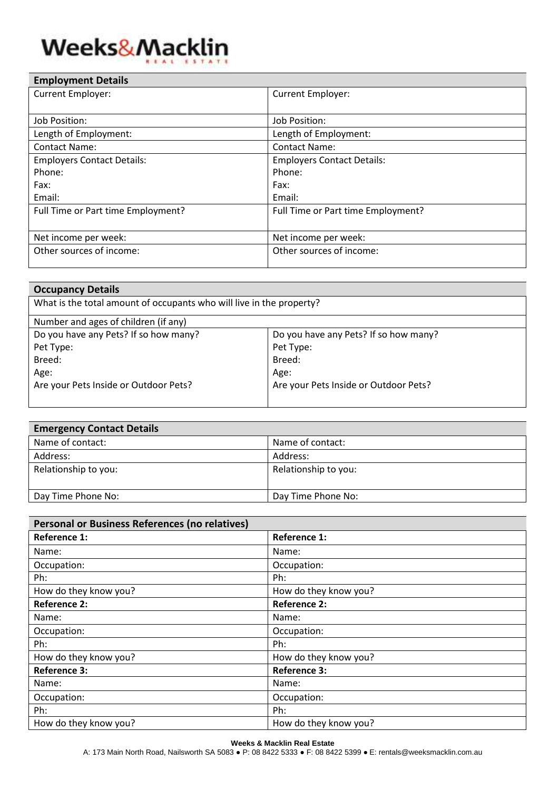# Weeks&Macklin

| <b>Employment Details</b>          |                                    |
|------------------------------------|------------------------------------|
| <b>Current Employer:</b>           | <b>Current Employer:</b>           |
|                                    |                                    |
| Job Position:                      | Job Position:                      |
| Length of Employment:              | Length of Employment:              |
| <b>Contact Name:</b>               | <b>Contact Name:</b>               |
| <b>Employers Contact Details:</b>  | <b>Employers Contact Details:</b>  |
| Phone:                             | Phone:                             |
| Fax:                               | Fax:                               |
| Email:                             | Email:                             |
| Full Time or Part time Employment? | Full Time or Part time Employment? |
|                                    |                                    |
| Net income per week:               | Net income per week:               |
| Other sources of income:           | Other sources of income:           |
|                                    |                                    |

| <b>Occupancy Details</b>                                             |                                       |  |
|----------------------------------------------------------------------|---------------------------------------|--|
| What is the total amount of occupants who will live in the property? |                                       |  |
| Number and ages of children (if any)                                 |                                       |  |
| Do you have any Pets? If so how many?                                | Do you have any Pets? If so how many? |  |
| Pet Type:                                                            | Pet Type:                             |  |
| Breed:                                                               | Breed:                                |  |
| Age:                                                                 | Age:                                  |  |
| Are your Pets Inside or Outdoor Pets?                                | Are your Pets Inside or Outdoor Pets? |  |
|                                                                      |                                       |  |

| <b>Emergency Contact Details</b> |                      |
|----------------------------------|----------------------|
| Name of contact:                 | Name of contact:     |
| Address:                         | Address:             |
| Relationship to you:             | Relationship to you: |
| Day Time Phone No:               | Day Time Phone No:   |

| Personal or Business References (no relatives) |                       |  |
|------------------------------------------------|-----------------------|--|
| <b>Reference 1:</b>                            | <b>Reference 1:</b>   |  |
| Name:                                          | Name:                 |  |
| Occupation:                                    | Occupation:           |  |
| Ph:                                            | Ph:                   |  |
| How do they know you?                          | How do they know you? |  |
| <b>Reference 2:</b>                            | <b>Reference 2:</b>   |  |
| Name:                                          | Name:                 |  |
| Occupation:                                    | Occupation:           |  |
| Ph:                                            | Ph:                   |  |
| How do they know you?                          | How do they know you? |  |
| <b>Reference 3:</b>                            | <b>Reference 3:</b>   |  |
| Name:                                          | Name:                 |  |
| Occupation:                                    | Occupation:           |  |
| Ph:                                            | Ph:                   |  |
| How do they know you?                          | How do they know you? |  |

#### **Weeks & Macklin Real Estate**

A: 173 Main North Road, Nailsworth SA 5083 ● P: 08 8422 5333 ● F: 08 8422 5399 ● E: rentals@weeksmacklin.com.au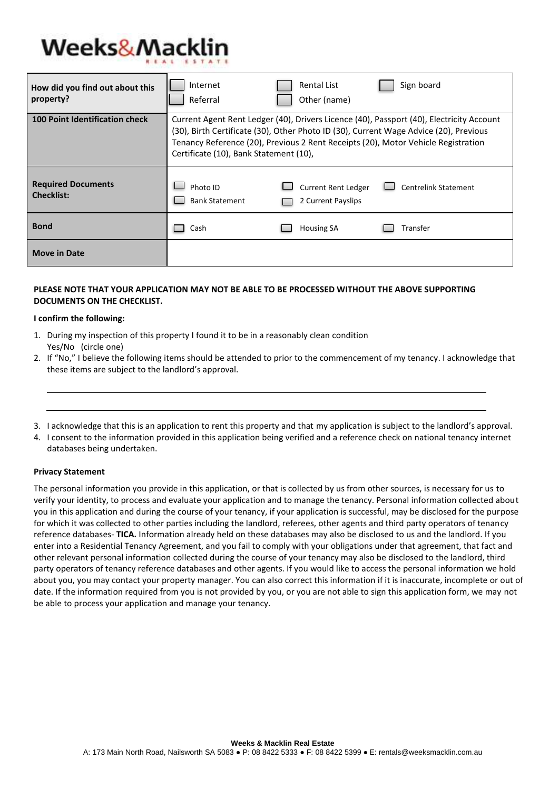## **Weeks&Macklin**

| How did you find out about this<br>property?   | Internet<br>Referral                                                                                                                                                                                                                                                                                             | Sign board<br><b>Rental List</b><br>Other (name)                                |  |
|------------------------------------------------|------------------------------------------------------------------------------------------------------------------------------------------------------------------------------------------------------------------------------------------------------------------------------------------------------------------|---------------------------------------------------------------------------------|--|
| <b>100 Point Identification check</b>          | Current Agent Rent Ledger (40), Drivers Licence (40), Passport (40), Electricity Account<br>(30), Birth Certificate (30), Other Photo ID (30), Current Wage Advice (20), Previous<br>Tenancy Reference (20), Previous 2 Rent Receipts (20), Motor Vehicle Registration<br>Certificate (10), Bank Statement (10), |                                                                                 |  |
| <b>Required Documents</b><br><b>Checklist:</b> | Photo ID<br><b>Bank Statement</b>                                                                                                                                                                                                                                                                                | <b>Current Rent Ledger</b><br><b>Centrelink Statement</b><br>2 Current Payslips |  |
| <b>Bond</b>                                    | Cash                                                                                                                                                                                                                                                                                                             | <b>Housing SA</b><br>Transfer                                                   |  |
| <b>Move in Date</b>                            |                                                                                                                                                                                                                                                                                                                  |                                                                                 |  |

### **PLEASE NOTE THAT YOUR APPLICATION MAY NOT BE ABLE TO BE PROCESSED WITHOUT THE ABOVE SUPPORTING DOCUMENTS ON THE CHECKLIST.**

#### **I confirm the following:**

- 1. During my inspection of this property I found it to be in a reasonably clean condition Yes/No (circle one)
- 2. If "No," I believe the following items should be attended to prior to the commencement of my tenancy. I acknowledge that these items are subject to the landlord's approval.
- 3. I acknowledge that this is an application to rent this property and that my application is subject to the landlord's approval.
- 4. I consent to the information provided in this application being verified and a reference check on national tenancy internet databases being undertaken.

#### **Privacy Statement**

The personal information you provide in this application, or that is collected by us from other sources, is necessary for us to verify your identity, to process and evaluate your application and to manage the tenancy. Personal information collected about you in this application and during the course of your tenancy, if your application is successful, may be disclosed for the purpose for which it was collected to other parties including the landlord, referees, other agents and third party operators of tenancy reference databases- **TICA.** Information already held on these databases may also be disclosed to us and the landlord. If you enter into a Residential Tenancy Agreement, and you fail to comply with your obligations under that agreement, that fact and other relevant personal information collected during the course of your tenancy may also be disclosed to the landlord, third party operators of tenancy reference databases and other agents. If you would like to access the personal information we hold about you, you may contact your property manager. You can also correct this information if it is inaccurate, incomplete or out of date. If the information required from you is not provided by you, or you are not able to sign this application form, we may not be able to process your application and manage your tenancy.